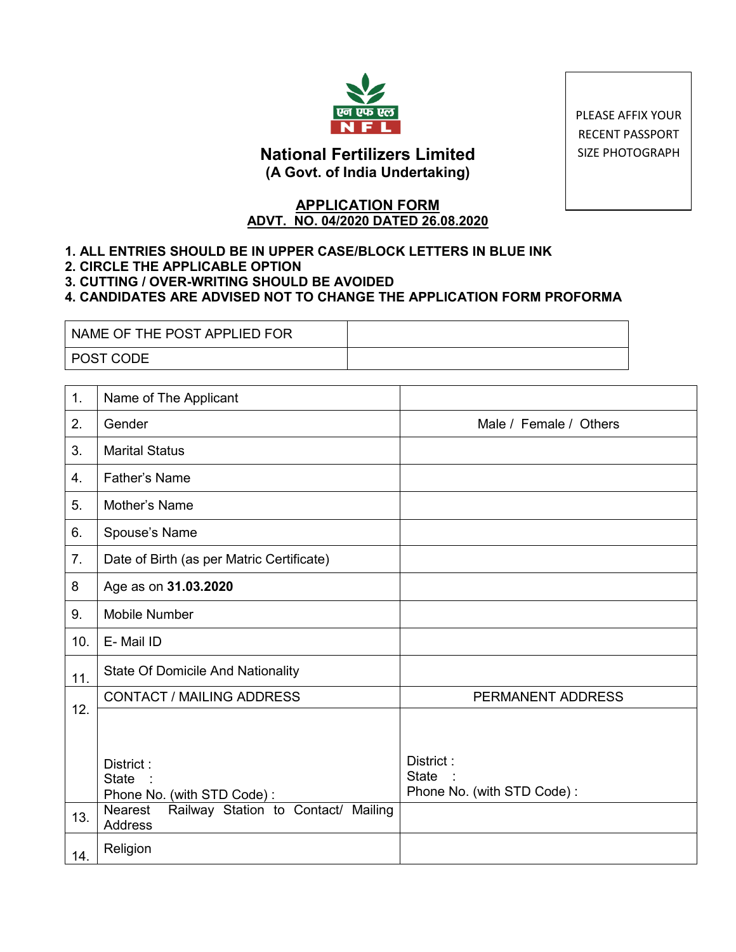

PLEASE AFFIX YOUR RECENT PASSPORT SIZE PHOTOGRAPH

# **National Fertilizers Limited (A Govt. of India Undertaking)**

## **APPLICATION FORM ADVT. NO. 04/2020 DATED 26.08.2020**

## **1. ALL ENTRIES SHOULD BE IN UPPER CASE/BLOCK LETTERS IN BLUE INK**

- **2. CIRCLE THE APPLICABLE OPTION**
- **3. CUTTING / OVER-WRITING SHOULD BE AVOIDED**

### **4. CANDIDATES ARE ADVISED NOT TO CHANGE THE APPLICATION FORM PROFORMA**

| NAME OF THE POST APPLIED FOR |  |
|------------------------------|--|
| I POST CODE                  |  |

| 1.  | Name of The Applicant                                     |                                                         |
|-----|-----------------------------------------------------------|---------------------------------------------------------|
| 2.  | Gender                                                    | Male / Female / Others                                  |
| 3.  | <b>Marital Status</b>                                     |                                                         |
| 4.  | Father's Name                                             |                                                         |
| 5.  | Mother's Name                                             |                                                         |
| 6.  | Spouse's Name                                             |                                                         |
| 7.  | Date of Birth (as per Matric Certificate)                 |                                                         |
| 8   | Age as on 31.03.2020                                      |                                                         |
| 9.  | <b>Mobile Number</b>                                      |                                                         |
| 10. | E-Mail ID                                                 |                                                         |
| 11. | <b>State Of Domicile And Nationality</b>                  |                                                         |
| 12. | <b>CONTACT / MAILING ADDRESS</b>                          | PERMANENT ADDRESS                                       |
|     |                                                           |                                                         |
|     | District:<br><b>State</b><br>Phone No. (with STD Code):   | District:<br><b>State</b><br>Phone No. (with STD Code): |
| 13. | Railway Station to Contact/ Mailing<br>Nearest<br>Address |                                                         |
| 14. | Religion                                                  |                                                         |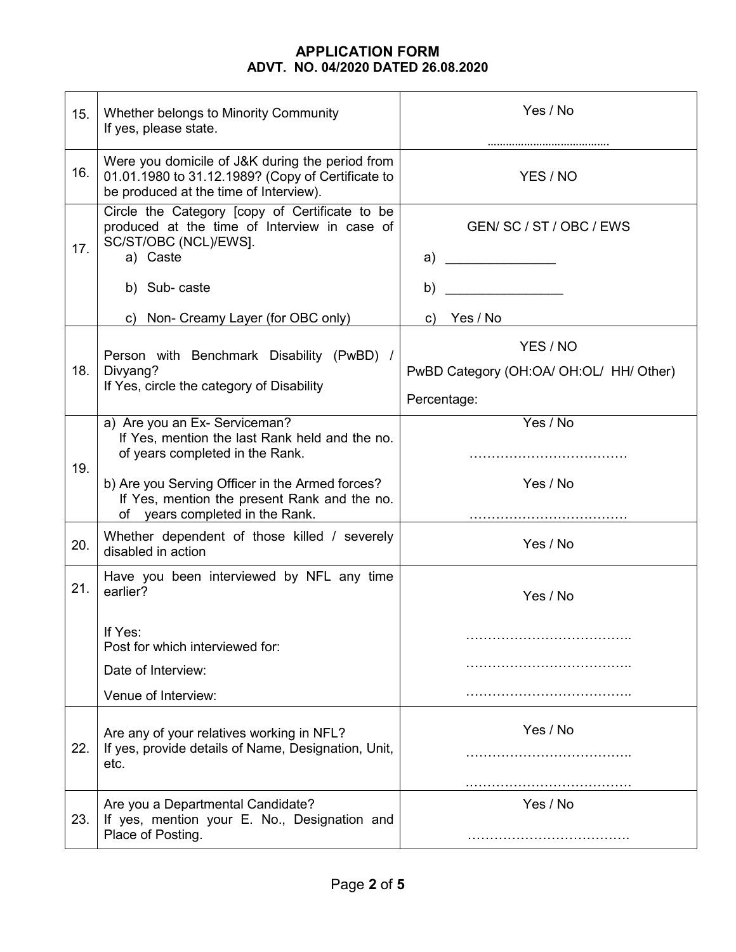| 15. | Whether belongs to Minority Community<br>If yes, please state.                                                                                                                                                        | Yes / No                                                           |  |  |
|-----|-----------------------------------------------------------------------------------------------------------------------------------------------------------------------------------------------------------------------|--------------------------------------------------------------------|--|--|
| 16. | Were you domicile of J&K during the period from<br>01.01.1980 to 31.12.1989? (Copy of Certificate to<br>be produced at the time of Interview).                                                                        | YES / NO                                                           |  |  |
| 17. | Circle the Category [copy of Certificate to be<br>produced at the time of Interview in case of<br>SC/ST/OBC (NCL)/EWS].<br>a) Caste                                                                                   | GEN/ SC / ST / OBC / EWS<br>a)                                     |  |  |
|     | b) Sub-caste                                                                                                                                                                                                          | b)                                                                 |  |  |
|     | c) Non- Creamy Layer (for OBC only)                                                                                                                                                                                   | c) Yes / No                                                        |  |  |
| 18. | Person with Benchmark Disability (PwBD) /<br>Divyang?<br>If Yes, circle the category of Disability                                                                                                                    | YES / NO<br>PwBD Category (OH:OA/ OH:OL/ HH/ Other)<br>Percentage: |  |  |
| 19. | a) Are you an Ex- Serviceman?<br>If Yes, mention the last Rank held and the no.<br>of years completed in the Rank.<br>b) Are you Serving Officer in the Armed forces?<br>If Yes, mention the present Rank and the no. | Yes / No<br>Yes / No                                               |  |  |
| 20. | of years completed in the Rank.<br>Whether dependent of those killed / severely<br>disabled in action                                                                                                                 | Yes / No                                                           |  |  |
| 21. | Have you been interviewed by NFL any time<br>earlier?                                                                                                                                                                 | Yes / No                                                           |  |  |
|     | If Yes:<br>Post for which interviewed for:                                                                                                                                                                            |                                                                    |  |  |
|     | Date of Interview:                                                                                                                                                                                                    |                                                                    |  |  |
|     | Venue of Interview:                                                                                                                                                                                                   |                                                                    |  |  |
| 22. | Are any of your relatives working in NFL?<br>If yes, provide details of Name, Designation, Unit,<br>etc.                                                                                                              | Yes / No                                                           |  |  |
| 23. | Are you a Departmental Candidate?<br>If yes, mention your E. No., Designation and<br>Place of Posting.                                                                                                                | Yes / No                                                           |  |  |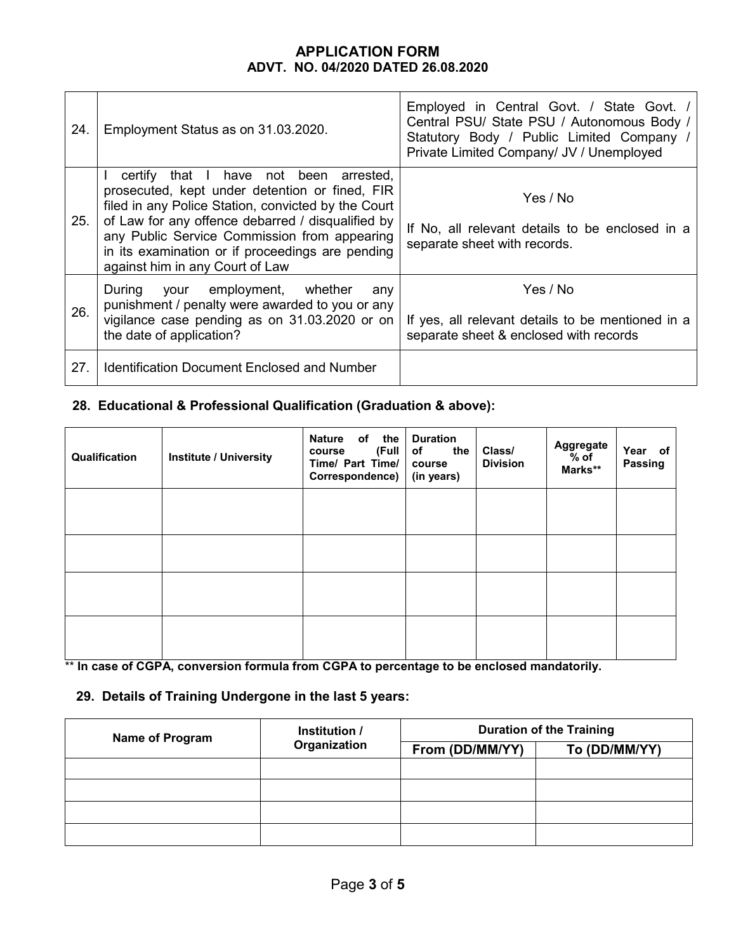| 24. | Employment Status as on 31.03.2020.                                                                                                                                                                                                                                                                                                         | Employed in Central Govt. / State Govt. /<br>Central PSU/ State PSU / Autonomous Body /<br>Statutory Body / Public Limited Company /<br>Private Limited Company/ JV / Unemployed |
|-----|---------------------------------------------------------------------------------------------------------------------------------------------------------------------------------------------------------------------------------------------------------------------------------------------------------------------------------------------|----------------------------------------------------------------------------------------------------------------------------------------------------------------------------------|
| 25. | certify that I have not been arrested,<br>prosecuted, kept under detention or fined, FIR<br>filed in any Police Station, convicted by the Court<br>of Law for any offence debarred / disqualified by<br>any Public Service Commission from appearing<br>in its examination or if proceedings are pending<br>against him in any Court of Law | Yes / No<br>If No, all relevant details to be enclosed in a<br>separate sheet with records.                                                                                      |
| 26. | During your employment, whether<br>any<br>punishment / penalty were awarded to you or any<br>vigilance case pending as on 31.03.2020 or on<br>the date of application?                                                                                                                                                                      | Yes / No<br>If yes, all relevant details to be mentioned in a<br>separate sheet & enclosed with records                                                                          |
| 27. | <b>Identification Document Enclosed and Number</b>                                                                                                                                                                                                                                                                                          |                                                                                                                                                                                  |

# **28. Educational & Professional Qualification (Graduation & above):**

| Qualification | <b>Institute / University</b> | <b>Nature</b><br>of the<br>(Full<br>course<br>Time/ Part Time/<br>Correspondence) | <b>Duration</b><br>of<br>the<br>course<br>(in years) | Class/<br><b>Division</b> | Aggregate<br>$%$ of<br>Marks** | Year of<br>Passing |
|---------------|-------------------------------|-----------------------------------------------------------------------------------|------------------------------------------------------|---------------------------|--------------------------------|--------------------|
|               |                               |                                                                                   |                                                      |                           |                                |                    |
|               |                               |                                                                                   |                                                      |                           |                                |                    |
|               |                               |                                                                                   |                                                      |                           |                                |                    |
|               |                               |                                                                                   |                                                      |                           |                                |                    |

\*\* **In case of CGPA, conversion formula from CGPA to percentage to be enclosed mandatorily.**

# **29. Details of Training Undergone in the last 5 years:**

| <b>Name of Program</b> | Institution /<br>Organization | <b>Duration of the Training</b> |               |  |  |
|------------------------|-------------------------------|---------------------------------|---------------|--|--|
|                        |                               | From (DD/MM/YY)                 | To (DD/MM/YY) |  |  |
|                        |                               |                                 |               |  |  |
|                        |                               |                                 |               |  |  |
|                        |                               |                                 |               |  |  |
|                        |                               |                                 |               |  |  |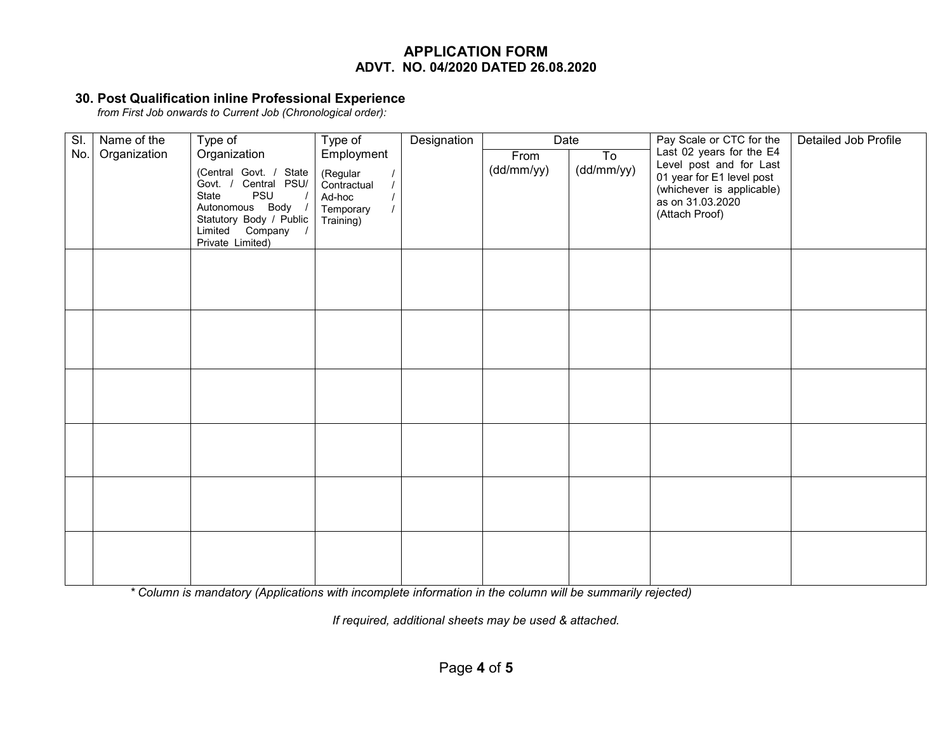#### **30. Post Qualification inline Professional Experience**

*from First Job onwards to Current Job (Chronological order):*

| SI. | Name of the  | Type of                 | Type of                 | Designation | Date       |            | Pay Scale or CTC for the  | Detailed Job Profile |
|-----|--------------|-------------------------|-------------------------|-------------|------------|------------|---------------------------|----------------------|
| No. | Organization | Organization            | Employment              |             | From       | To         | Last 02 years for the E4  |                      |
|     |              | (Central Govt. / State  |                         |             | (dd/mm/yy) | (dd/mm/yy) | Level post and for Last   |                      |
|     |              | Govt. / Central PSU/    | (Regular<br>Contractual |             |            |            | 01 year for E1 level post |                      |
|     |              | PSU<br>State            | Ad-hoc                  |             |            |            | (whichever is applicable) |                      |
|     |              | Autonomous Body /       | Temporary               |             |            |            | as on 31.03.2020          |                      |
|     |              | Statutory Body / Public | Training)               |             |            |            | (Attach Proof)            |                      |
|     |              | Limited Company /       |                         |             |            |            |                           |                      |
|     |              | Private Limited)        |                         |             |            |            |                           |                      |
|     |              |                         |                         |             |            |            |                           |                      |
|     |              |                         |                         |             |            |            |                           |                      |
|     |              |                         |                         |             |            |            |                           |                      |
|     |              |                         |                         |             |            |            |                           |                      |
|     |              |                         |                         |             |            |            |                           |                      |
|     |              |                         |                         |             |            |            |                           |                      |
|     |              |                         |                         |             |            |            |                           |                      |
|     |              |                         |                         |             |            |            |                           |                      |
|     |              |                         |                         |             |            |            |                           |                      |
|     |              |                         |                         |             |            |            |                           |                      |
|     |              |                         |                         |             |            |            |                           |                      |
|     |              |                         |                         |             |            |            |                           |                      |
|     |              |                         |                         |             |            |            |                           |                      |
|     |              |                         |                         |             |            |            |                           |                      |
|     |              |                         |                         |             |            |            |                           |                      |
|     |              |                         |                         |             |            |            |                           |                      |
|     |              |                         |                         |             |            |            |                           |                      |
|     |              |                         |                         |             |            |            |                           |                      |
|     |              |                         |                         |             |            |            |                           |                      |
|     |              |                         |                         |             |            |            |                           |                      |
|     |              |                         |                         |             |            |            |                           |                      |
|     |              |                         |                         |             |            |            |                           |                      |

*\* Column is mandatory (Applications with incomplete information in the column will be summarily rejected)*

*If required, additional sheets may be used & attached.*